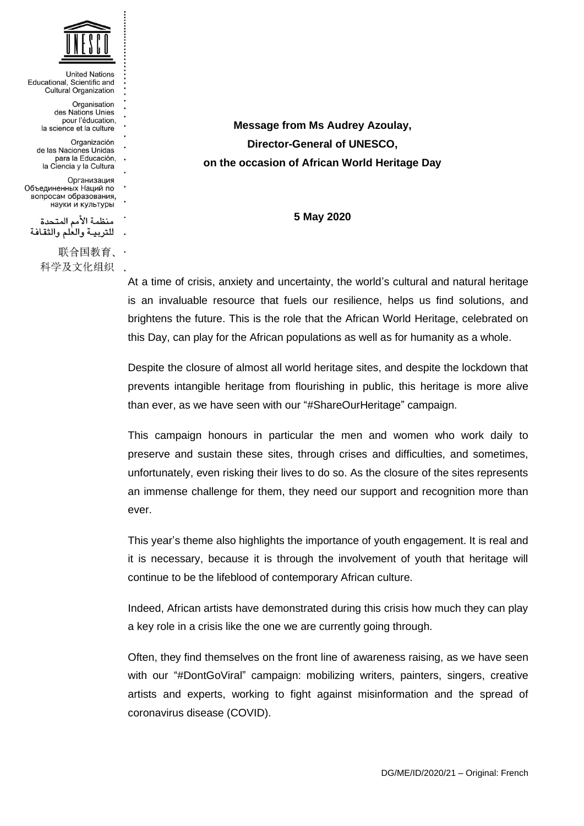

**United Nations** Educational, Scientific and **Cultural Organization** Organisation des Nations Unies pour l'éducation, la science et la culture Organización de las Naciones Unidas para la Educación. la Ciencia y la Cultura Организация Объединенных Наций по вопросам образования, науки и культуры منظمة الأمم المتحدة للتربية والعلم والثقافة 联合国教育、· 科学及文化组织 .

**Message from Ms Audrey Azoulay, Director-General of UNESCO, on the occasion of African World Heritage Day** 

**5 May 2020** 

At a time of crisis, anxiety and uncertainty, the world's cultural and natural heritage is an invaluable resource that fuels our resilience, helps us find solutions, and brightens the future. This is the role that the African World Heritage, celebrated on this Day, can play for the African populations as well as for humanity as a whole.

Despite the closure of almost all world heritage sites, and despite the lockdown that prevents intangible heritage from flourishing in public, this heritage is more alive than ever, as we have seen with our "#ShareOurHeritage" campaign.

This campaign honours in particular the men and women who work daily to preserve and sustain these sites, through crises and difficulties, and sometimes, unfortunately, even risking their lives to do so. As the closure of the sites represents an immense challenge for them, they need our support and recognition more than ever.

This year's theme also highlights the importance of youth engagement. It is real and it is necessary, because it is through the involvement of youth that heritage will continue to be the lifeblood of contemporary African culture.

Indeed, African artists have demonstrated during this crisis how much they can play a key role in a crisis like the one we are currently going through.

Often, they find themselves on the front line of awareness raising, as we have seen with our "#DontGoViral" campaign: mobilizing writers, painters, singers, creative artists and experts, working to fight against misinformation and the spread of coronavirus disease (COVID).